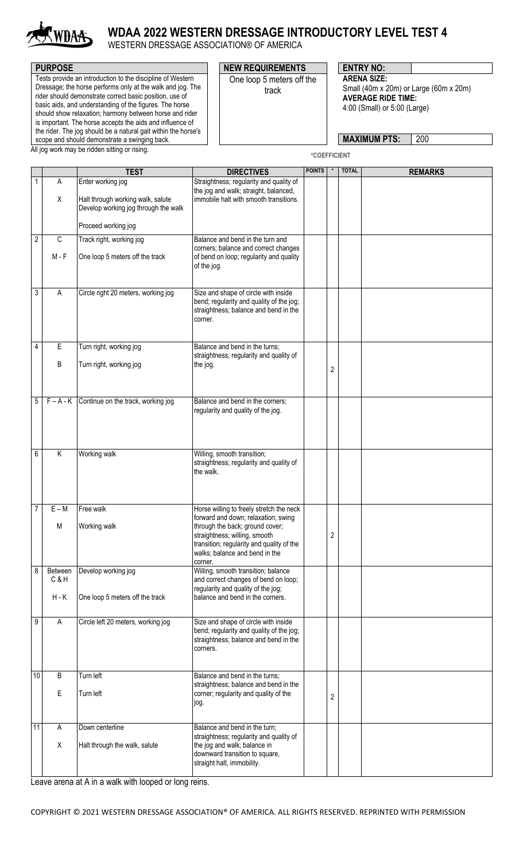

## **WDAA 2022 WESTERN DRESSAGE INTRODUCTORY LEVEL TEST 4**

WESTERN DRESSAGE ASSOCIATION® OF AMERICA

| <b>PURPOSE</b>                                                                                                                                                                                                                                                                                                                                                                                                                                                                            | <b>NEW REQUIREMENTS</b>            | <b>ENTRY NO:</b>                                                                                                                                        |
|-------------------------------------------------------------------------------------------------------------------------------------------------------------------------------------------------------------------------------------------------------------------------------------------------------------------------------------------------------------------------------------------------------------------------------------------------------------------------------------------|------------------------------------|---------------------------------------------------------------------------------------------------------------------------------------------------------|
| Tests provide an introduction to the discipline of Western<br>Dressage; the horse performs only at the walk and jog. The<br>rider should demonstrate correct basic position, use of<br>basic aids, and understanding of the figures. The horse<br>should show relaxation; harmony between horse and rider<br>is important. The horse accepts the aids and influence of<br>the rider. The jog should be a natural gait within the horse's<br>scope and should demonstrate a swinging back. | One loop 5 meters off the<br>track | <b>ARENA SIZE:</b><br>Small (40m x 20m) or Large (60m x 20m)<br><b>AVERAGE RIDE TIME:</b><br>4:00 (Small) or 5:00 (Large)<br>200<br><b>MAXIMUM PTS:</b> |
| All jog work may be ridden sitting or rising.                                                                                                                                                                                                                                                                                                                                                                                                                                             |                                    | <b>*COFFFICIENT</b>                                                                                                                                     |

**\*COEFFICIENT**

|                  |                | <b>TEST</b>                                                               | <b>DIRECTIVES</b>                                                                                                                                                                                 | <b>POINTS</b> |                  | <b>TOTAL</b> | <b>REMARKS</b> |
|------------------|----------------|---------------------------------------------------------------------------|---------------------------------------------------------------------------------------------------------------------------------------------------------------------------------------------------|---------------|------------------|--------------|----------------|
|                  | Α              | Enter working jog                                                         | Straightness; regularity and quality of<br>the jog and walk; straight, balanced,                                                                                                                  |               |                  |              |                |
|                  | Χ              | Halt through working walk, salute<br>Develop working jog through the walk | immobile halt with smooth transitions.                                                                                                                                                            |               |                  |              |                |
|                  |                | Proceed working jog                                                       |                                                                                                                                                                                                   |               |                  |              |                |
| $\overline{2}$   | $\mathsf C$    | Track right, working jog                                                  | Balance and bend in the turn and<br>corners; balance and correct changes                                                                                                                          |               |                  |              |                |
|                  | $M - F$        | One loop 5 meters off the track                                           | of bend on loop; regularity and quality<br>of the jog.                                                                                                                                            |               |                  |              |                |
| 3                | A              | Circle right 20 meters, working jog                                       | Size and shape of circle with inside<br>bend; regularity and quality of the jog;<br>straightness; balance and bend in the<br>corner.                                                              |               |                  |              |                |
| 4                | E              | Turn right, working jog                                                   | Balance and bend in the turns;<br>straightness; regularity and quality of                                                                                                                         |               |                  |              |                |
|                  | B              | Turn right, working jog                                                   | the jog.                                                                                                                                                                                          |               | $\boldsymbol{2}$ |              |                |
|                  |                |                                                                           |                                                                                                                                                                                                   |               |                  |              |                |
| $\mathbf 5$      |                | $F - A - K$ Continue on the track, working jog                            | Balance and bend in the corners;<br>regularity and quality of the jog.                                                                                                                            |               |                  |              |                |
| 6                | Κ              | Working walk                                                              | Willing, smooth transition;<br>straightness; regularity and quality of<br>the walk.                                                                                                               |               |                  |              |                |
| $\overline{7}$   | $E - M$        | Free walk                                                                 | Horse willing to freely stretch the neck                                                                                                                                                          |               |                  |              |                |
|                  | M              | Working walk                                                              | forward and down; relaxation; swing<br>through the back; ground cover;<br>straightness; willing, smooth<br>transition; regularity and quality of the<br>walks; balance and bend in the<br>corner. |               | 2                |              |                |
| 8                | Between<br>C&H | Develop working jog                                                       | Willing, smooth transition; balance<br>and correct changes of bend on loop;                                                                                                                       |               |                  |              |                |
|                  | $H - K$        | One loop 5 meters off the track                                           | regularity and quality of the jog;<br>balance and bend in the corners.                                                                                                                            |               |                  |              |                |
| $\boldsymbol{9}$ | A              | Circle left 20 meters, working jog                                        | Size and shape of circle with inside<br>bend; regularity and quality of the jog;<br>straightness; balance and bend in the<br>corners.                                                             |               |                  |              |                |
| 10               | B              | Turn left                                                                 | Balance and bend in the turns;                                                                                                                                                                    |               |                  |              |                |
|                  | E              | Turn left                                                                 | straightness; balance and bend in the<br>corner; regularity and quality of the<br>jog.                                                                                                            |               | 2                |              |                |
| $\overline{11}$  | A              | Down centerline                                                           | Balance and bend in the turn;                                                                                                                                                                     |               |                  |              |                |
|                  | Χ              | Halt through the walk, salute                                             | straightness; regularity and quality of<br>the jog and walk; balance in<br>downward transition to square,<br>straight halt, immobility.                                                           |               |                  |              |                |
|                  |                |                                                                           |                                                                                                                                                                                                   |               |                  |              |                |

Leave arena at A in a walk with looped or long reins.